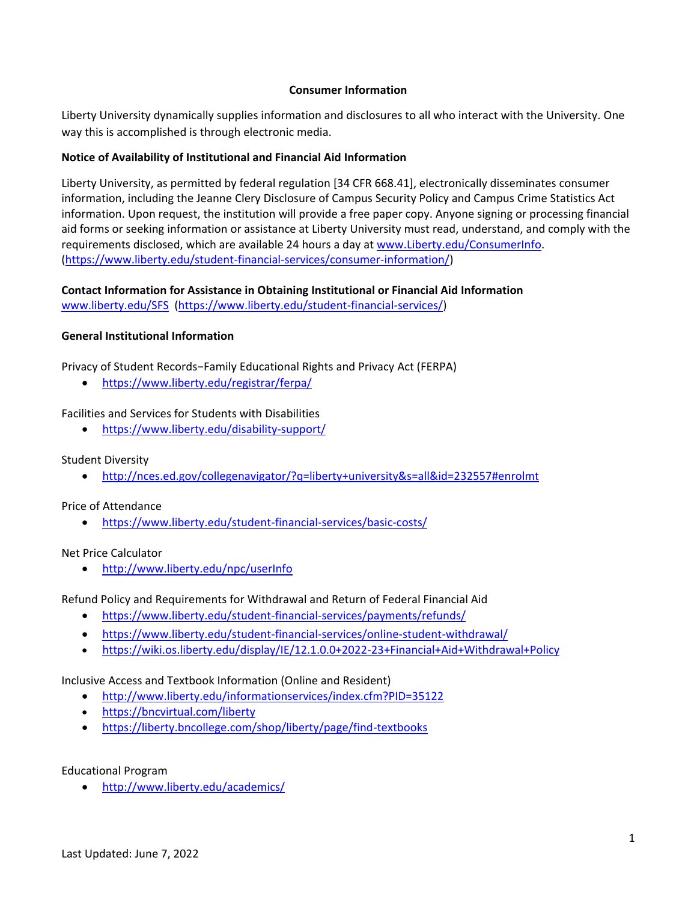#### **Consumer Information**

Liberty University dynamically supplies information and disclosures to all who interact with the University. One way this is accomplished is through electronic media.

# **Notice of Availability of Institutional and Financial Aid Information**

Liberty University, as permitted by federal regulation [34 CFR 668.41], electronically disseminates consumer information, including the Jeanne Clery Disclosure of Campus Security Policy and Campus Crime Statistics Act information. Upon request, the institution will provide a free paper copy. Anyone signing or processing financial aid forms or seeking information or assistance at Liberty University must read, understand, and comply with the requirements disclosed, which are available 24 hours a day at [www.Liberty.edu/ConsumerInfo.](http://www.liberty.edu/ConsumerInfo) [\(https://www.liberty.edu/student-financial-services/consumer-information/\)](https://www.liberty.edu/student-financial-services/consumer-information/)

#### **Contact Information for Assistance in Obtaining Institutional or Financial Aid Information**  [www.liberty.edu/SFS](http://www.liberty.edu/SFS) [\(https://www.liberty.edu/student-financial-services/\)](https://www.liberty.edu/student-financial-services/)

# **General Institutional Information**

Privacy of Student Records−Family Educational Rights and Privacy Act (FERPA)

• <https://www.liberty.edu/registrar/ferpa/>

Facilities and Services for Students with Disabilities

• <https://www.liberty.edu/disability-support/>

## Student Diversity

• <http://nces.ed.gov/collegenavigator/?q=liberty+university&s=all&id=232557#enrolmt>

## Price of Attendance

• <https://www.liberty.edu/student-financial-services/basic-costs/>

## Net Price Calculator

• <http://www.liberty.edu/npc/userInfo>

## Refund Policy and Requirements for Withdrawal and Return of Federal Financial Aid

- <https://www.liberty.edu/student-financial-services/payments/refunds/>
- <https://www.liberty.edu/student-financial-services/online-student-withdrawal/>
- <https://wiki.os.liberty.edu/display/IE/12.1.0.0+2022-23+Financial+Aid+Withdrawal+Policy>

## Inclusive Access and Textbook Information (Online and Resident)

- <http://www.liberty.edu/informationservices/index.cfm?PID=35122>
- <https://bncvirtual.com/liberty>
- <https://liberty.bncollege.com/shop/liberty/page/find-textbooks>

## Educational Program

• <http://www.liberty.edu/academics/>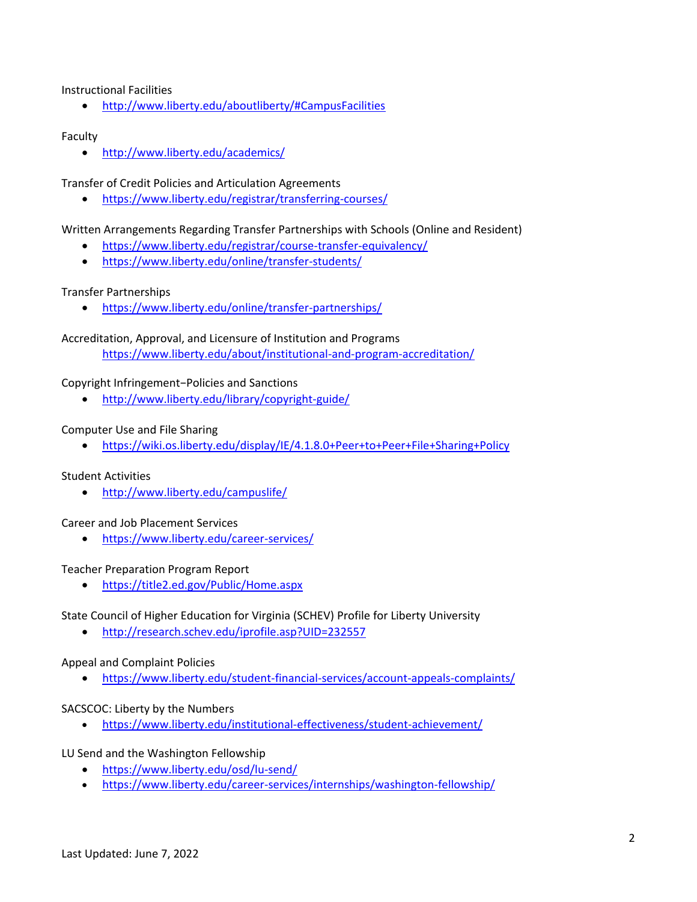Instructional Facilities

• <http://www.liberty.edu/aboutliberty/#CampusFacilities>

#### Faculty

• <http://www.liberty.edu/academics/>

Transfer of Credit Policies and Articulation Agreements

• <https://www.liberty.edu/registrar/transferring-courses/>

Written Arrangements Regarding Transfer Partnerships with Schools (Online and Resident)

- <https://www.liberty.edu/registrar/course-transfer-equivalency/>
- <https://www.liberty.edu/online/transfer-students/>

#### Transfer Partnerships

• <https://www.liberty.edu/online/transfer-partnerships/>

Accreditation, Approval, and Licensure of Institution and Programs <https://www.liberty.edu/about/institutional-and-program-accreditation/>

#### Copyright Infringement−Policies and Sanctions

• <http://www.liberty.edu/library/copyright-guide/>

#### Computer Use and File Sharing

• <https://wiki.os.liberty.edu/display/IE/4.1.8.0+Peer+to+Peer+File+Sharing+Policy>

#### Student Activities

• <http://www.liberty.edu/campuslife/>

Career and Job Placement Services

• <https://www.liberty.edu/career-services/>

#### Teacher Preparation Program Report

• <https://title2.ed.gov/Public/Home.aspx>

State Council of Higher Education for Virginia (SCHEV) Profile for Liberty University

• <http://research.schev.edu/iprofile.asp?UID=232557>

Appeal and Complaint Policies

• <https://www.liberty.edu/student-financial-services/account-appeals-complaints/>

#### SACSCOC: Liberty by the Numbers

• <https://www.liberty.edu/institutional-effectiveness/student-achievement/>

LU Send and the Washington Fellowship

- <https://www.liberty.edu/osd/lu-send/>
- <https://www.liberty.edu/career-services/internships/washington-fellowship/>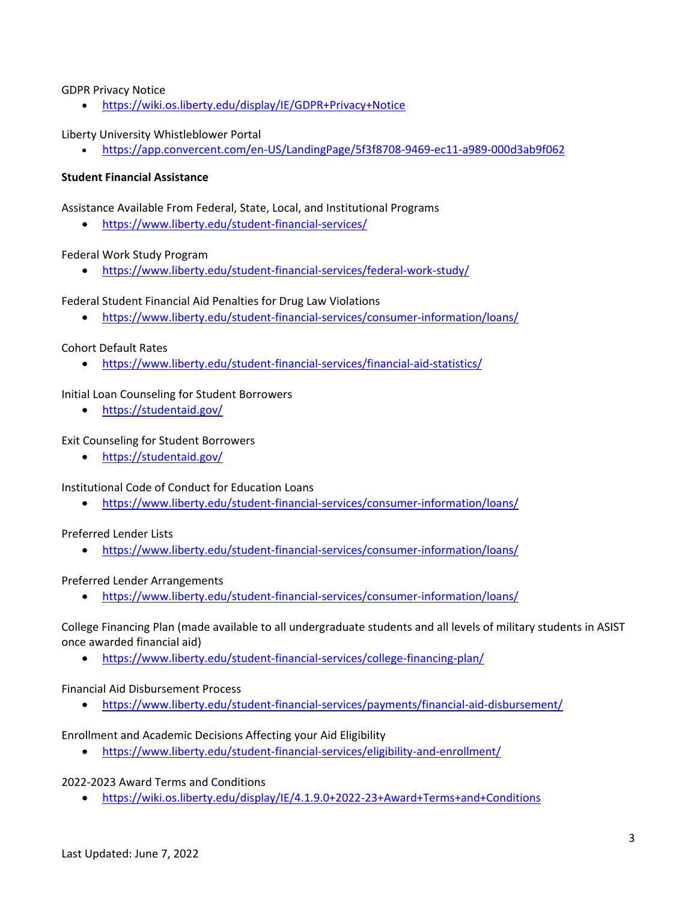#### GDPR Privacy Notice

• <https://wiki.os.liberty.edu/display/IE/GDPR+Privacy+Notice>

#### Liberty University Whistleblower Portal

• <https://app.convercent.com/en-US/LandingPage/5f3f8708-9469-ec11-a989-000d3ab9f062>

#### **Student Financial Assistance**

Assistance Available From Federal, State, Local, and Institutional Programs

• <https://www.liberty.edu/student-financial-services/>

#### Federal Work Study Program

• <https://www.liberty.edu/student-financial-services/federal-work-study/>

Federal Student Financial Aid Penalties for Drug Law Violations

• <https://www.liberty.edu/student-financial-services/consumer-information/loans/>

#### Cohort Default Rates

• <https://www.liberty.edu/student-financial-services/financial-aid-statistics/>

#### Initial Loan Counseling for Student Borrowers

• <https://studentaid.gov/>

#### Exit Counseling for Student Borrowers

• <https://studentaid.gov/>

Institutional Code of Conduct for Education Loans

• <https://www.liberty.edu/student-financial-services/consumer-information/loans/>

#### Preferred Lender Lists

• <https://www.liberty.edu/student-financial-services/consumer-information/loans/>

#### Preferred Lender Arrangements

• <https://www.liberty.edu/student-financial-services/consumer-information/loans/>

College Financing Plan (made available to all undergraduate students and all levels of military students in ASIST once awarded financial aid)

• <https://www.liberty.edu/student-financial-services/college-financing-plan/>

#### Financial Aid Disbursement Process

• <https://www.liberty.edu/student-financial-services/payments/financial-aid-disbursement/>

Enrollment and Academic Decisions Affecting your Aid Eligibility

• <https://www.liberty.edu/student-financial-services/eligibility-and-enrollment/>

## 2022-2023 Award Terms and Conditions

• <https://wiki.os.liberty.edu/display/IE/4.1.9.0+2022-23+Award+Terms+and+Conditions>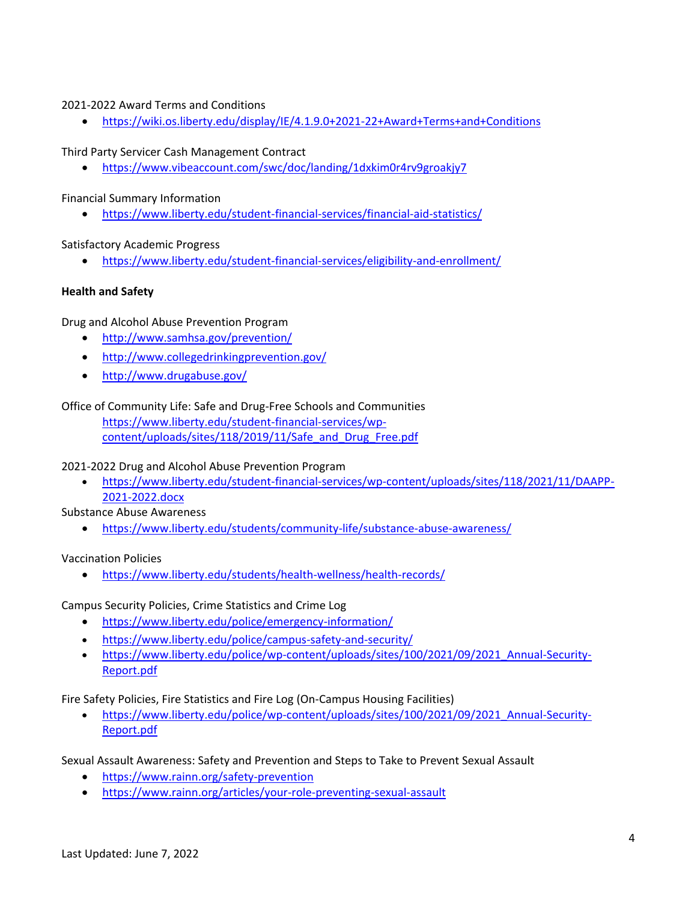# 2021-2022 Award Terms and Conditions

• <https://wiki.os.liberty.edu/display/IE/4.1.9.0+2021-22+Award+Terms+and+Conditions>

Third Party Servicer Cash Management Contract

• <https://www.vibeaccount.com/swc/doc/landing/1dxkim0r4rv9groakjy7>

Financial Summary Information

• <https://www.liberty.edu/student-financial-services/financial-aid-statistics/>

Satisfactory Academic Progress

• <https://www.liberty.edu/student-financial-services/eligibility-and-enrollment/>

# **Health and Safety**

Drug and Alcohol Abuse Prevention Program

- <http://www.samhsa.gov/prevention/>
- <http://www.collegedrinkingprevention.gov/>
- <http://www.drugabuse.gov/>

# Office of Community Life: Safe and Drug-Free Schools and Communities

[https://www.liberty.edu/student-financial-services/wp](https://www.liberty.edu/student-financial-services/wp-content/uploads/sites/118/2019/11/Safe_and_Drug_Free.pdf)[content/uploads/sites/118/2019/11/Safe\\_and\\_Drug\\_Free.pdf](https://www.liberty.edu/student-financial-services/wp-content/uploads/sites/118/2019/11/Safe_and_Drug_Free.pdf)

# 2021-2022 Drug and Alcohol Abuse Prevention Program

• [https://www.liberty.edu/student-financial-services/wp-content/uploads/sites/118/2021/11/DAAPP-](https://www.liberty.edu/student-financial-services/wp-content/uploads/sites/118/2021/11/DAAPP-2021-2022.docx)[2021-2022.docx](https://www.liberty.edu/student-financial-services/wp-content/uploads/sites/118/2021/11/DAAPP-2021-2022.docx)

Substance Abuse Awareness

• <https://www.liberty.edu/students/community-life/substance-abuse-awareness/>

# Vaccination Policies

• <https://www.liberty.edu/students/health-wellness/health-records/>

Campus Security Policies, Crime Statistics and Crime Log

- <https://www.liberty.edu/police/emergency-information/>
- <https://www.liberty.edu/police/campus-safety-and-security/>
- [https://www.liberty.edu/police/wp-content/uploads/sites/100/2021/09/2021\\_Annual-Security-](https://www.liberty.edu/police/wp-content/uploads/sites/100/2021/09/2021_Annual-Security-Report.pdf)[Report.pdf](https://www.liberty.edu/police/wp-content/uploads/sites/100/2021/09/2021_Annual-Security-Report.pdf)

Fire Safety Policies, Fire Statistics and Fire Log (On-Campus Housing Facilities)

• [https://www.liberty.edu/police/wp-content/uploads/sites/100/2021/09/2021\\_Annual-Security-](https://www.liberty.edu/police/wp-content/uploads/sites/100/2021/09/2021_Annual-Security-Report.pdf)[Report.pdf](https://www.liberty.edu/police/wp-content/uploads/sites/100/2021/09/2021_Annual-Security-Report.pdf)

Sexual Assault Awareness: Safety and Prevention and Steps to Take to Prevent Sexual Assault

- <https://www.rainn.org/safety-prevention>
- <https://www.rainn.org/articles/your-role-preventing-sexual-assault>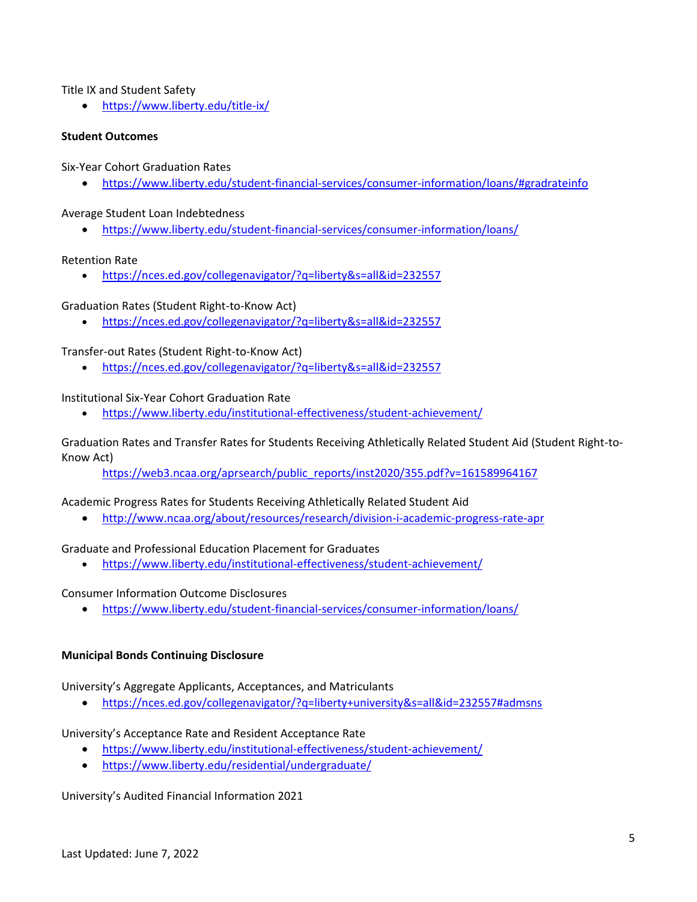Title IX and Student Safety

• <https://www.liberty.edu/title-ix/>

## **Student Outcomes**

Six-Year Cohort Graduation Rates

• <https://www.liberty.edu/student-financial-services/consumer-information/loans/#gradrateinfo>

Average Student Loan Indebtedness

• <https://www.liberty.edu/student-financial-services/consumer-information/loans/>

## Retention Rate

• <https://nces.ed.gov/collegenavigator/?q=liberty&s=all&id=232557>

Graduation Rates (Student Right-to-Know Act)

• <https://nces.ed.gov/collegenavigator/?q=liberty&s=all&id=232557>

## Transfer-out Rates (Student Right-to-Know Act)

• <https://nces.ed.gov/collegenavigator/?q=liberty&s=all&id=232557>

## Institutional Six-Year Cohort Graduation Rate

• <https://www.liberty.edu/institutional-effectiveness/student-achievement/>

## Graduation Rates and Transfer Rates for Students Receiving Athletically Related Student Aid (Student Right-to-Know Act)

[https://web3.ncaa.org/aprsearch/public\\_reports/inst2020/355.pdf?v=161589964167](https://web3.ncaa.org/aprsearch/public_reports/inst2020/355.pdf?v=161589964167)

## Academic Progress Rates for Students Receiving Athletically Related Student Aid

• <http://www.ncaa.org/about/resources/research/division-i-academic-progress-rate-apr>

## Graduate and Professional Education Placement for Graduates

• <https://www.liberty.edu/institutional-effectiveness/student-achievement/>

## Consumer Information Outcome Disclosures

• <https://www.liberty.edu/student-financial-services/consumer-information/loans/>

## **Municipal Bonds Continuing Disclosure**

University's Aggregate Applicants, Acceptances, and Matriculants

• <https://nces.ed.gov/collegenavigator/?q=liberty+university&s=all&id=232557#admsns>

## University's Acceptance Rate and Resident Acceptance Rate

- <https://www.liberty.edu/institutional-effectiveness/student-achievement/>
- <https://www.liberty.edu/residential/undergraduate/>

University's Audited Financial Information 2021